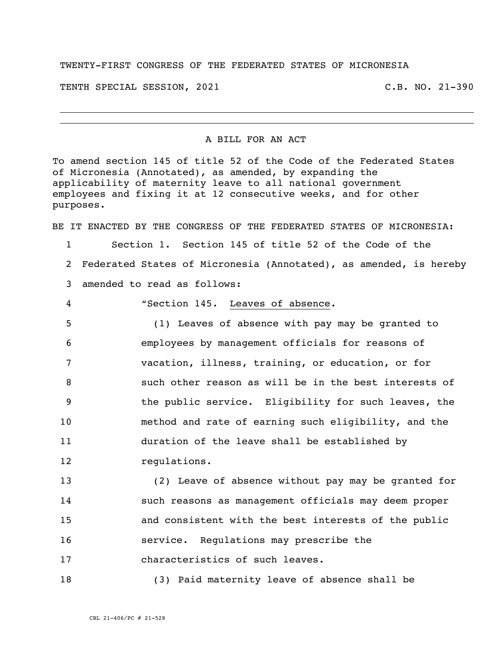## TWENTY-FIRST CONGRESS OF THE FEDERATED STATES OF MICRONESIA

TENTH SPECIAL SESSION, 2021 C.B. NO. 21-390

## A BILL FOR AN ACT

To amend section 145 of title 52 of the Code of the Federated States of Micronesia (Annotated), as amended, by expanding the applicability of maternity leave to all national government employees and fixing it at 12 consecutive weeks, and for other purposes.

BE IT ENACTED BY THE CONGRESS OF THE FEDERATED STATES OF MICRONESIA:

 Section 1. Section 145 of title 52 of the Code of the Federated States of Micronesia (Annotated), as amended, is hereby amended to read as follows:

"Section 145. Leaves of absence**.**

 (1) Leaves of absence with pay may be granted to employees by management officials for reasons of vacation, illness, training, or education, or for such other reason as will be in the best interests of the public service. Eligibility for such leaves, the method and rate of earning such eligibility, and the duration of the leave shall be established by regulations.

 (2) Leave of absence without pay may be granted for such reasons as management officials may deem proper and consistent with the best interests of the public service. Regulations may prescribe the characteristics of such leaves.

(3) Paid maternity leave of absence shall be